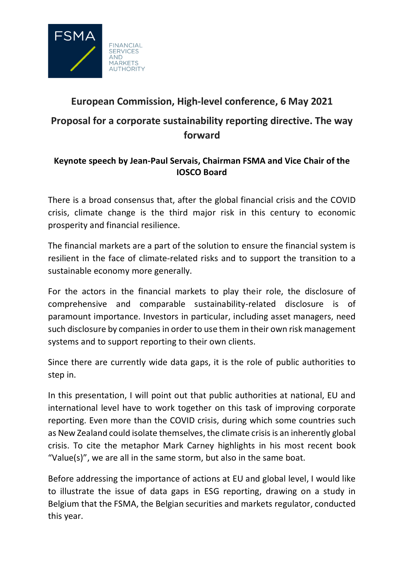

## **European Commission, High-level conference, 6 May 2021 Proposal for a corporate sustainability reporting directive. The way forward**

## **Keynote speech by Jean-Paul Servais, Chairman FSMA and Vice Chair of the IOSCO Board**

There is a broad consensus that, after the global financial crisis and the COVID crisis, climate change is the third major risk in this century to economic prosperity and financial resilience.

The financial markets are a part of the solution to ensure the financial system is resilient in the face of climate-related risks and to support the transition to a sustainable economy more generally.

For the actors in the financial markets to play their role, the disclosure of comprehensive and comparable sustainability-related disclosure is of paramount importance. Investors in particular, including asset managers, need such disclosure by companies in order to use them in their own risk management systems and to support reporting to their own clients.

Since there are currently wide data gaps, it is the role of public authorities to step in.

In this presentation, I will point out that public authorities at national, EU and international level have to work together on this task of improving corporate reporting. Even more than the COVID crisis, during which some countries such as New Zealand could isolate themselves, the climate crisis is an inherently global crisis. To cite the metaphor Mark Carney highlights in his most recent book "Value(s)", we are all in the same storm, but also in the same boat.

Before addressing the importance of actions at EU and global level, I would like to illustrate the issue of data gaps in ESG reporting, drawing on a study in Belgium that the FSMA, the Belgian securities and markets regulator, conducted this year.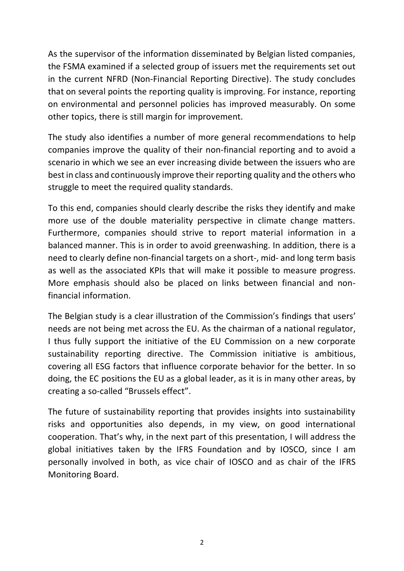As the supervisor of the information disseminated by Belgian listed companies, the FSMA examined if a selected group of issuers met the requirements set out in the current NFRD (Non-Financial Reporting Directive). The study concludes that on several points the reporting quality is improving. For instance, reporting on environmental and personnel policies has improved measurably. On some other topics, there is still margin for improvement.

The study also identifies a number of more general recommendations to help companies improve the quality of their non-financial reporting and to avoid a scenario in which we see an ever increasing divide between the issuers who are best in class and continuously improve their reporting quality and the others who struggle to meet the required quality standards.

To this end, companies should clearly describe the risks they identify and make more use of the double materiality perspective in climate change matters. Furthermore, companies should strive to report material information in a balanced manner. This is in order to avoid greenwashing. In addition, there is a need to clearly define non-financial targets on a short-, mid- and long term basis as well as the associated KPIs that will make it possible to measure progress. More emphasis should also be placed on links between financial and nonfinancial information.

The Belgian study is a clear illustration of the Commission's findings that users' needs are not being met across the EU. As the chairman of a national regulator, I thus fully support the initiative of the EU Commission on a new corporate sustainability reporting directive. The Commission initiative is ambitious, covering all ESG factors that influence corporate behavior for the better. In so doing, the EC positions the EU as a global leader, as it is in many other areas, by creating a so-called "Brussels effect".

The future of sustainability reporting that provides insights into sustainability risks and opportunities also depends, in my view, on good international cooperation. That's why, in the next part of this presentation, I will address the global initiatives taken by the IFRS Foundation and by IOSCO, since I am personally involved in both, as vice chair of IOSCO and as chair of the IFRS Monitoring Board.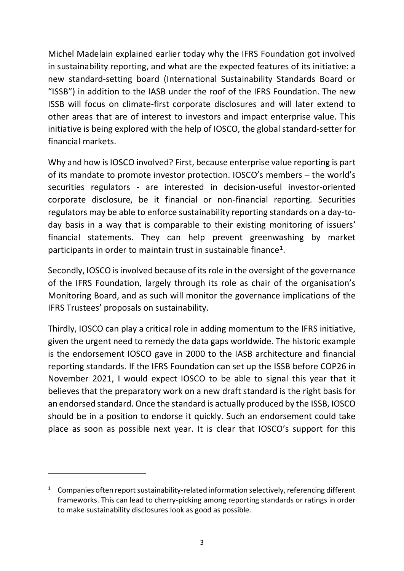Michel Madelain explained earlier today why the IFRS Foundation got involved in sustainability reporting, and what are the expected features of its initiative: a new standard-setting board (International Sustainability Standards Board or "ISSB") in addition to the IASB under the roof of the IFRS Foundation. The new ISSB will focus on climate-first corporate disclosures and will later extend to other areas that are of interest to investors and impact enterprise value. This initiative is being explored with the help of IOSCO, the global standard-setter for financial markets.

Why and how is IOSCO involved? First, because enterprise value reporting is part of its mandate to promote investor protection. IOSCO's members – the world's securities regulators - are interested in decision-useful investor-oriented corporate disclosure, be it financial or non-financial reporting. Securities regulators may be able to enforce sustainability reporting standards on a day-today basis in a way that is comparable to their existing monitoring of issuers' financial statements. They can help prevent greenwashing by market participants in order to maintain trust in sustainable finance<sup>1</sup>.

Secondly, IOSCO is involved because of its role in the oversight of the governance of the IFRS Foundation, largely through its role as chair of the organisation's Monitoring Board, and as such will monitor the governance implications of the IFRS Trustees' proposals on sustainability.

Thirdly, IOSCO can play a critical role in adding momentum to the IFRS initiative, given the urgent need to remedy the data gaps worldwide. The historic example is the endorsement IOSCO gave in 2000 to the IASB architecture and financial reporting standards. If the IFRS Foundation can set up the ISSB before COP26 in November 2021, I would expect IOSCO to be able to signal this year that it believes that the preparatory work on a new draft standard is the right basis for an endorsed standard. Once the standard is actually produced by the ISSB, IOSCO should be in a position to endorse it quickly. Such an endorsement could take place as soon as possible next year. It is clear that IOSCO's support for this

-

 $1$  Companies often report sustainability-related information selectively, referencing different frameworks. This can lead to cherry-picking among reporting standards or ratings in order to make sustainability disclosures look as good as possible.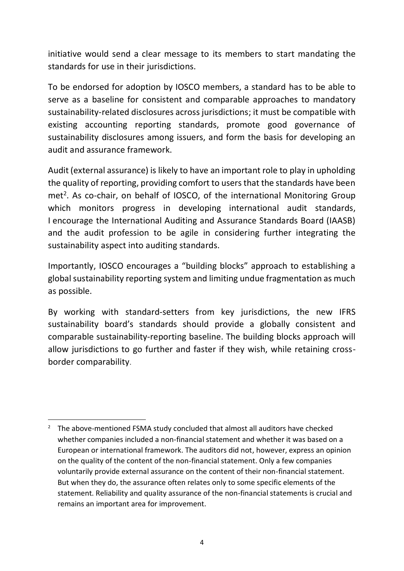initiative would send a clear message to its members to start mandating the standards for use in their jurisdictions.

To be endorsed for adoption by IOSCO members, a standard has to be able to serve as a baseline for consistent and comparable approaches to mandatory sustainability-related disclosures across jurisdictions; it must be compatible with existing accounting reporting standards, promote good governance of sustainability disclosures among issuers, and form the basis for developing an audit and assurance framework.

Audit (external assurance) is likely to have an important role to play in upholding the quality of reporting, providing comfort to users that the standards have been  $met<sup>2</sup>$ . As co-chair, on behalf of IOSCO, of the international Monitoring Group which monitors progress in developing international audit standards, I encourage the International Auditing and Assurance Standards Board (IAASB) and the audit profession to be agile in considering further integrating the sustainability aspect into auditing standards.

Importantly, IOSCO encourages a "building blocks" approach to establishing a global sustainability reporting system and limiting undue fragmentation as much as possible.

By working with standard-setters from key jurisdictions, the new IFRS sustainability board's standards should provide a globally consistent and comparable sustainability-reporting baseline. The building blocks approach will allow jurisdictions to go further and faster if they wish, while retaining crossborder comparability.

-

<sup>&</sup>lt;sup>2</sup> The above-mentioned FSMA study concluded that almost all auditors have checked whether companies included a non-financial statement and whether it was based on a European or international framework. The auditors did not, however, express an opinion on the quality of the content of the non-financial statement. Only a few companies voluntarily provide external assurance on the content of their non-financial statement. But when they do, the assurance often relates only to some specific elements of the statement. Reliability and quality assurance of the non-financial statements is crucial and remains an important area for improvement.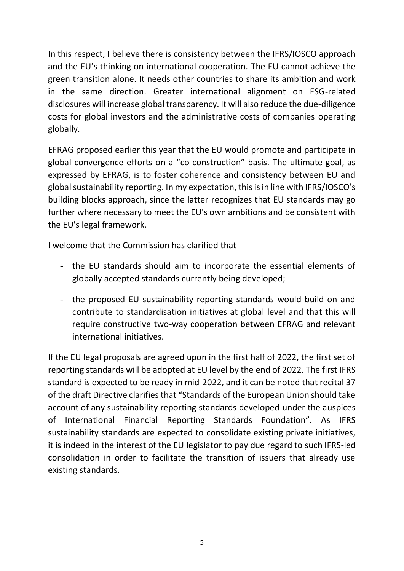In this respect, I believe there is consistency between the IFRS/IOSCO approach and the EU's thinking on international cooperation. The EU cannot achieve the green transition alone. It needs other countries to share its ambition and work in the same direction. Greater international alignment on ESG-related disclosures will increase global transparency. It will also reduce the due-diligence costs for global investors and the administrative costs of companies operating globally.

EFRAG proposed earlier this year that the EU would promote and participate in global convergence efforts on a "co-construction" basis. The ultimate goal, as expressed by EFRAG, is to foster coherence and consistency between EU and global sustainability reporting. In my expectation, this is in line with IFRS/IOSCO's building blocks approach, since the latter recognizes that EU standards may go further where necessary to meet the EU's own ambitions and be consistent with the EU's legal framework.

I welcome that the Commission has clarified that

- the EU standards should aim to incorporate the essential elements of globally accepted standards currently being developed;
- the proposed EU sustainability reporting standards would build on and contribute to standardisation initiatives at global level and that this will require constructive two-way cooperation between EFRAG and relevant international initiatives.

If the EU legal proposals are agreed upon in the first half of 2022, the first set of reporting standards will be adopted at EU level by the end of 2022. The first IFRS standard is expected to be ready in mid-2022, and it can be noted that recital 37 of the draft Directive clarifies that "Standards of the European Union should take account of any sustainability reporting standards developed under the auspices of International Financial Reporting Standards Foundation". As IFRS sustainability standards are expected to consolidate existing private initiatives, it is indeed in the interest of the EU legislator to pay due regard to such IFRS-led consolidation in order to facilitate the transition of issuers that already use existing standards.